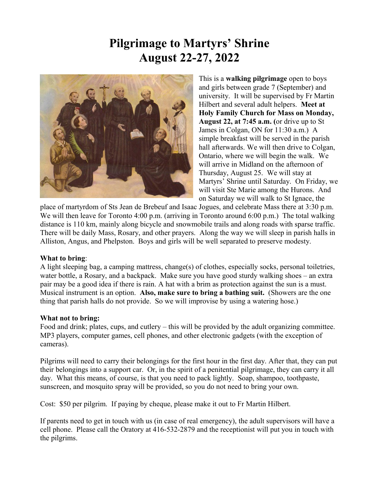## **Pilgrimage to Martyrs' Shrine August 22-27, 2022**



This is a **walking pilgrimage** open to boys and girls between grade 7 (September) and university. It will be supervised by Fr Martin Hilbert and several adult helpers. **Meet at Holy Family Church for Mass on Monday, August 22, at 7:45 a.m. (**or drive up to St James in Colgan, ON for 11:30 a.m.) A simple breakfast will be served in the parish hall afterwards. We will then drive to Colgan, Ontario, where we will begin the walk. We will arrive in Midland on the afternoon of Thursday, August 25. We will stay at Martyrs' Shrine until Saturday. On Friday, we will visit Ste Marie among the Hurons. And on Saturday we will walk to St Ignace, the

place of martyrdom of Sts Jean de Brebeuf and Isaac Jogues, and celebrate Mass there at 3:30 p.m. We will then leave for Toronto 4:00 p.m. (arriving in Toronto around 6:00 p.m.) The total walking distance is 110 km, mainly along bicycle and snowmobile trails and along roads with sparse traffic. There will be daily Mass, Rosary, and other prayers. Along the way we will sleep in parish halls in Alliston, Angus, and Phelpston. Boys and girls will be well separated to preserve modesty.

## **What to bring**:

A light sleeping bag, a camping mattress, change(s) of clothes, especially socks, personal toiletries, water bottle, a Rosary, and a backpack. Make sure you have good sturdy walking shoes – an extra pair may be a good idea if there is rain. A hat with a brim as protection against the sun is a must. Musical instrument is an option. **Also, make sure to bring a bathing suit.** (Showers are the one thing that parish halls do not provide. So we will improvise by using a watering hose.)

## **What not to bring:**

Food and drink; plates, cups, and cutlery – this will be provided by the adult organizing committee. MP3 players, computer games, cell phones, and other electronic gadgets (with the exception of cameras).

Pilgrims will need to carry their belongings for the first hour in the first day. After that, they can put their belongings into a support car. Or, in the spirit of a penitential pilgrimage, they can carry it all day. What this means, of course, is that you need to pack lightly. Soap, shampoo, toothpaste, sunscreen, and mosquito spray will be provided, so you do not need to bring your own.

Cost: \$50 per pilgrim. If paying by cheque, please make it out to Fr Martin Hilbert.

If parents need to get in touch with us (in case of real emergency), the adult supervisors will have a cell phone. Please call the Oratory at 416-532-2879 and the receptionist will put you in touch with the pilgrims.